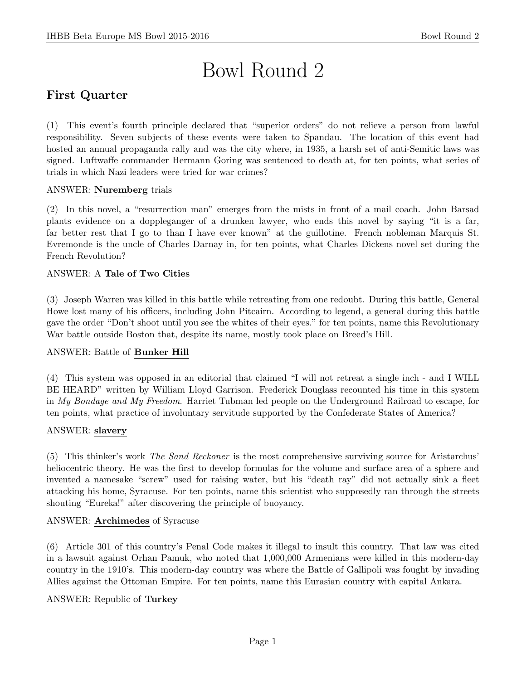# Bowl Round 2

# First Quarter

(1) This event's fourth principle declared that "superior orders" do not relieve a person from lawful responsibility. Seven subjects of these events were taken to Spandau. The location of this event had hosted an annual propaganda rally and was the city where, in 1935, a harsh set of anti-Semitic laws was signed. Luftwaffe commander Hermann Goring was sentenced to death at, for ten points, what series of trials in which Nazi leaders were tried for war crimes?

## ANSWER: Nuremberg trials

(2) In this novel, a "resurrection man" emerges from the mists in front of a mail coach. John Barsad plants evidence on a doppleganger of a drunken lawyer, who ends this novel by saying "it is a far, far better rest that I go to than I have ever known" at the guillotine. French nobleman Marquis St. Evremonde is the uncle of Charles Darnay in, for ten points, what Charles Dickens novel set during the French Revolution?

## ANSWER: A Tale of Two Cities

(3) Joseph Warren was killed in this battle while retreating from one redoubt. During this battle, General Howe lost many of his officers, including John Pitcairn. According to legend, a general during this battle gave the order "Don't shoot until you see the whites of their eyes." for ten points, name this Revolutionary War battle outside Boston that, despite its name, mostly took place on Breed's Hill.

## ANSWER: Battle of Bunker Hill

(4) This system was opposed in an editorial that claimed "I will not retreat a single inch - and I WILL BE HEARD" written by William Lloyd Garrison. Frederick Douglass recounted his time in this system in My Bondage and My Freedom. Harriet Tubman led people on the Underground Railroad to escape, for ten points, what practice of involuntary servitude supported by the Confederate States of America?

## ANSWER: slavery

(5) This thinker's work The Sand Reckoner is the most comprehensive surviving source for Aristarchus' heliocentric theory. He was the first to develop formulas for the volume and surface area of a sphere and invented a namesake "screw" used for raising water, but his "death ray" did not actually sink a fleet attacking his home, Syracuse. For ten points, name this scientist who supposedly ran through the streets shouting "Eureka!" after discovering the principle of buoyancy.

## ANSWER: Archimedes of Syracuse

(6) Article 301 of this country's Penal Code makes it illegal to insult this country. That law was cited in a lawsuit against Orhan Pamuk, who noted that 1,000,000 Armenians were killed in this modern-day country in the 1910's. This modern-day country was where the Battle of Gallipoli was fought by invading Allies against the Ottoman Empire. For ten points, name this Eurasian country with capital Ankara.

## ANSWER: Republic of Turkey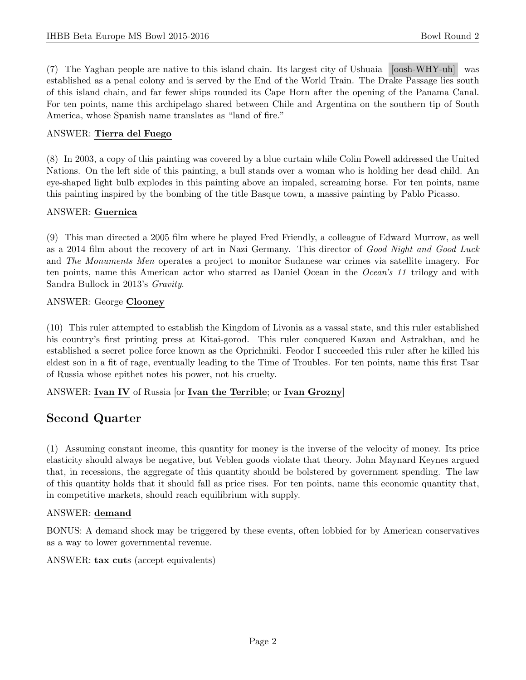(7) The Yaghan people are native to this island chain. Its largest city of Ushuaia [oosh-WHY-uh] was established as a penal colony and is served by the End of the World Train. The Drake Passage lies south of this island chain, and far fewer ships rounded its Cape Horn after the opening of the Panama Canal. For ten points, name this archipelago shared between Chile and Argentina on the southern tip of South America, whose Spanish name translates as "land of fire."

#### ANSWER: Tierra del Fuego

(8) In 2003, a copy of this painting was covered by a blue curtain while Colin Powell addressed the United Nations. On the left side of this painting, a bull stands over a woman who is holding her dead child. An eye-shaped light bulb explodes in this painting above an impaled, screaming horse. For ten points, name this painting inspired by the bombing of the title Basque town, a massive painting by Pablo Picasso.

#### ANSWER: Guernica

(9) This man directed a 2005 film where he played Fred Friendly, a colleague of Edward Murrow, as well as a 2014 film about the recovery of art in Nazi Germany. This director of Good Night and Good Luck and The Monuments Men operates a project to monitor Sudanese war crimes via satellite imagery. For ten points, name this American actor who starred as Daniel Ocean in the Ocean's 11 trilogy and with Sandra Bullock in 2013's Gravity.

#### ANSWER: George Clooney

(10) This ruler attempted to establish the Kingdom of Livonia as a vassal state, and this ruler established his country's first printing press at Kitai-gorod. This ruler conquered Kazan and Astrakhan, and he established a secret police force known as the Oprichniki. Feodor I succeeded this ruler after he killed his eldest son in a fit of rage, eventually leading to the Time of Troubles. For ten points, name this first Tsar of Russia whose epithet notes his power, not his cruelty.

ANSWER: Ivan IV of Russia [or Ivan the Terrible; or Ivan Grozny]

# Second Quarter

(1) Assuming constant income, this quantity for money is the inverse of the velocity of money. Its price elasticity should always be negative, but Veblen goods violate that theory. John Maynard Keynes argued that, in recessions, the aggregate of this quantity should be bolstered by government spending. The law of this quantity holds that it should fall as price rises. For ten points, name this economic quantity that, in competitive markets, should reach equilibrium with supply.

#### ANSWER: demand

BONUS: A demand shock may be triggered by these events, often lobbied for by American conservatives as a way to lower governmental revenue.

ANSWER: tax cuts (accept equivalents)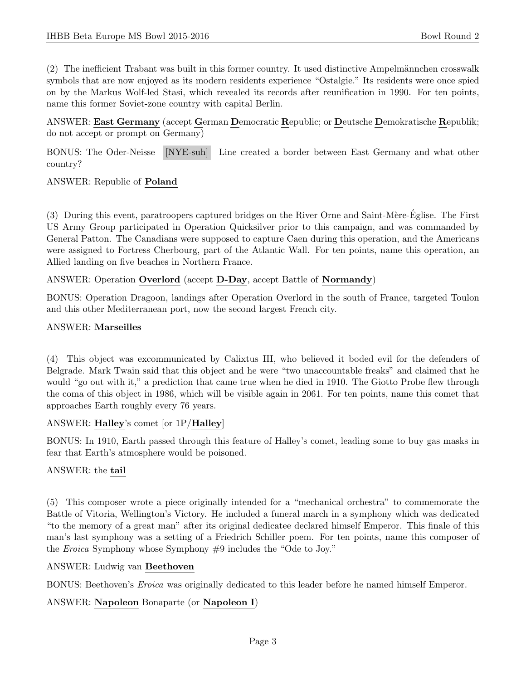(2) The inefficient Trabant was built in this former country. It used distinctive Ampelm¨annchen crosswalk symbols that are now enjoyed as its modern residents experience "Ostalgie." Its residents were once spied on by the Markus Wolf-led Stasi, which revealed its records after reunification in 1990. For ten points, name this former Soviet-zone country with capital Berlin.

ANSWER: East Germany (accept German Democratic Republic; or Deutsche Demokratische Republik; do not accept or prompt on Germany)

BONUS: The Oder-Neisse [NYE-suh] Line created a border between East Germany and what other country?

ANSWER: Republic of Poland

(3) During this event, paratroopers captured bridges on the River Orne and Saint-M`ere-Eglise. The First ´ US Army Group participated in Operation Quicksilver prior to this campaign, and was commanded by General Patton. The Canadians were supposed to capture Caen during this operation, and the Americans were assigned to Fortress Cherbourg, part of the Atlantic Wall. For ten points, name this operation, an Allied landing on five beaches in Northern France.

#### ANSWER: Operation Overlord (accept D-Day, accept Battle of Normandy)

BONUS: Operation Dragoon, landings after Operation Overlord in the south of France, targeted Toulon and this other Mediterranean port, now the second largest French city.

#### ANSWER: Marseilles

(4) This object was excommunicated by Calixtus III, who believed it boded evil for the defenders of Belgrade. Mark Twain said that this object and he were "two unaccountable freaks" and claimed that he would "go out with it," a prediction that came true when he died in 1910. The Giotto Probe flew through the coma of this object in 1986, which will be visible again in 2061. For ten points, name this comet that approaches Earth roughly every 76 years.

#### ANSWER: Halley's comet [or 1P/Halley]

BONUS: In 1910, Earth passed through this feature of Halley's comet, leading some to buy gas masks in fear that Earth's atmosphere would be poisoned.

## ANSWER: the tail

(5) This composer wrote a piece originally intended for a "mechanical orchestra" to commemorate the Battle of Vitoria, Wellington's Victory. He included a funeral march in a symphony which was dedicated "to the memory of a great man" after its original dedicatee declared himself Emperor. This finale of this man's last symphony was a setting of a Friedrich Schiller poem. For ten points, name this composer of the Eroica Symphony whose Symphony #9 includes the "Ode to Joy."

#### ANSWER: Ludwig van Beethoven

BONUS: Beethoven's Eroica was originally dedicated to this leader before he named himself Emperor.

## ANSWER: Napoleon Bonaparte (or Napoleon I)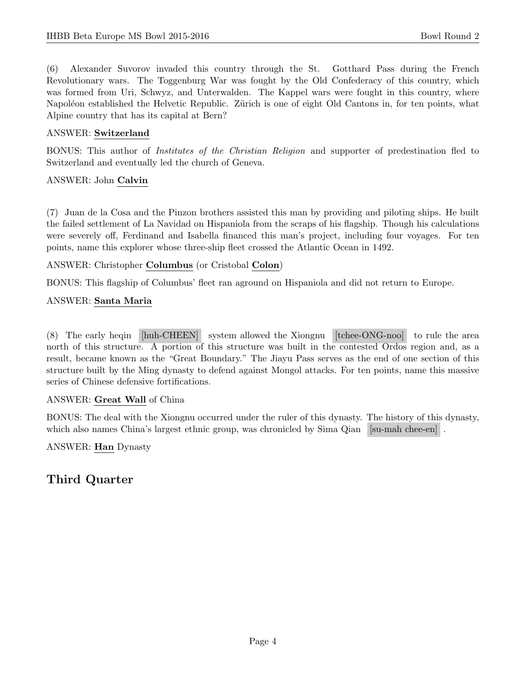(6) Alexander Suvorov invaded this country through the St. Gotthard Pass during the French Revolutionary wars. The Toggenburg War was fought by the Old Confederacy of this country, which was formed from Uri, Schwyz, and Unterwalden. The Kappel wars were fought in this country, where Napoléon established the Helvetic Republic. Zürich is one of eight Old Cantons in, for ten points, what Alpine country that has its capital at Bern?

#### ANSWER: Switzerland

BONUS: This author of Institutes of the Christian Religion and supporter of predestination fled to Switzerland and eventually led the church of Geneva.

#### ANSWER: John Calvin

(7) Juan de la Cosa and the Pinzon brothers assisted this man by providing and piloting ships. He built the failed settlement of La Navidad on Hispaniola from the scraps of his flagship. Though his calculations were severely off, Ferdinand and Isabella financed this man's project, including four voyages. For ten points, name this explorer whose three-ship fleet crossed the Atlantic Ocean in 1492.

ANSWER: Christopher Columbus (or Cristobal Colon)

BONUS: This flagship of Columbus' fleet ran aground on Hispaniola and did not return to Europe.

#### ANSWER: Santa Maria

(8) The early heqin [huh-CHEEN] system allowed the Xiongnu [tchee-ONG-noo] to rule the area north of this structure. A portion of this structure was built in the contested Ordos region and, as a result, became known as the "Great Boundary." The Jiayu Pass serves as the end of one section of this structure built by the Ming dynasty to defend against Mongol attacks. For ten points, name this massive series of Chinese defensive fortifications.

## ANSWER: Great Wall of China

BONUS: The deal with the Xiongnu occurred under the ruler of this dynasty. The history of this dynasty, which also names China's largest ethnic group, was chronicled by Sima Qian [su-mah chee-en].

ANSWER: Han Dynasty

# Third Quarter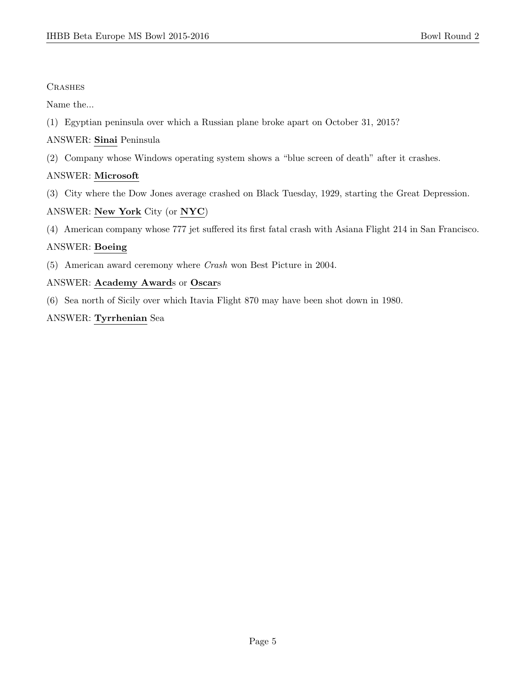## **CRASHES**

Name the...

- (1) Egyptian peninsula over which a Russian plane broke apart on October 31, 2015?
- ANSWER: Sinai Peninsula
- (2) Company whose Windows operating system shows a "blue screen of death" after it crashes.

## ANSWER: Microsoft

(3) City where the Dow Jones average crashed on Black Tuesday, 1929, starting the Great Depression.

## ANSWER: New York City (or NYC)

(4) American company whose 777 jet suffered its first fatal crash with Asiana Flight 214 in San Francisco.

## ANSWER: Boeing

(5) American award ceremony where Crash won Best Picture in 2004.

## ANSWER: Academy Awards or Oscars

(6) Sea north of Sicily over which Itavia Flight 870 may have been shot down in 1980.

## ANSWER: Tyrrhenian Sea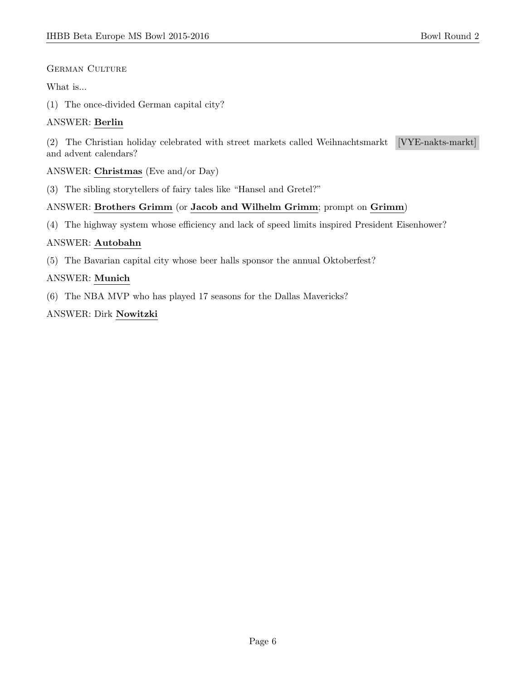## GERMAN CULTURE

## What is...

(1) The once-divided German capital city?

## ANSWER: Berlin

(2) The Christian holiday celebrated with street markets called Weihnachtsmarkt [VYE-nakts-markt] and advent calendars?

## ANSWER: Christmas (Eve and/or Day)

(3) The sibling storytellers of fairy tales like "Hansel and Gretel?"

## ANSWER: Brothers Grimm (or Jacob and Wilhelm Grimm; prompt on Grimm)

(4) The highway system whose efficiency and lack of speed limits inspired President Eisenhower?

## ANSWER: Autobahn

(5) The Bavarian capital city whose beer halls sponsor the annual Oktoberfest?

## ANSWER: Munich

(6) The NBA MVP who has played 17 seasons for the Dallas Mavericks?

## ANSWER: Dirk Nowitzki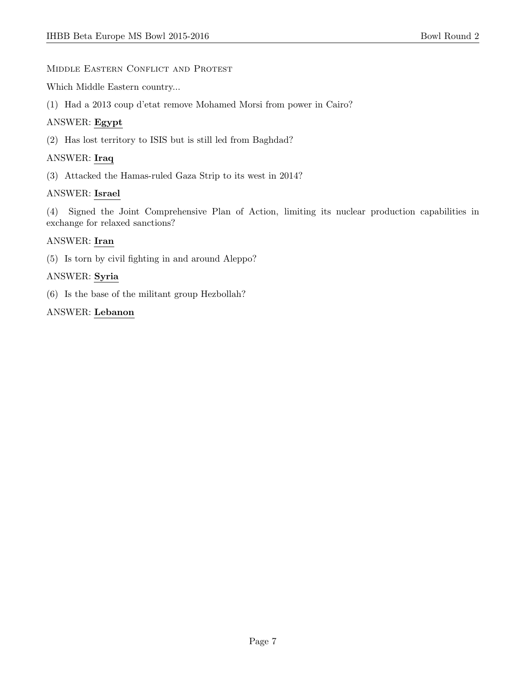#### MIDDLE EASTERN CONFLICT AND PROTEST

Which Middle Eastern country...

(1) Had a 2013 coup d'etat remove Mohamed Morsi from power in Cairo?

## ANSWER: Egypt

(2) Has lost territory to ISIS but is still led from Baghdad?

## ANSWER: Iraq

(3) Attacked the Hamas-ruled Gaza Strip to its west in 2014?

## ANSWER: Israel

(4) Signed the Joint Comprehensive Plan of Action, limiting its nuclear production capabilities in exchange for relaxed sanctions?

## ANSWER: Iran

(5) Is torn by civil fighting in and around Aleppo?

## ANSWER: Syria

(6) Is the base of the militant group Hezbollah?

## ANSWER: Lebanon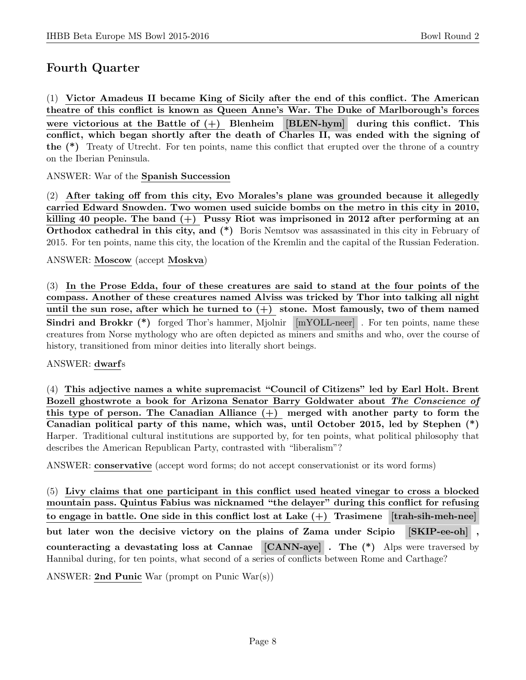# Fourth Quarter

(1) Victor Amadeus II became King of Sicily after the end of this conflict. The American theatre of this conflict is known as Queen Anne's War. The Duke of Marlborough's forces were victorious at the Battle of  $(+)$  Blenheim [BLEN-hym] during this conflict. This conflict, which began shortly after the death of Charles II, was ended with the signing of the (\*) Treaty of Utrecht. For ten points, name this conflict that erupted over the throne of a country on the Iberian Peninsula.

ANSWER: War of the Spanish Succession

(2) After taking off from this city, Evo Morales's plane was grounded because it allegedly carried Edward Snowden. Two women used suicide bombs on the metro in this city in 2010, killing 40 people. The band  $(+)$  Pussy Riot was imprisoned in 2012 after performing at an Orthodox cathedral in this city, and  $(*)$  Boris Nemtsov was assassinated in this city in February of 2015. For ten points, name this city, the location of the Kremlin and the capital of the Russian Federation.

#### ANSWER: Moscow (accept Moskva)

(3) In the Prose Edda, four of these creatures are said to stand at the four points of the compass. Another of these creatures named Alviss was tricked by Thor into talking all night until the sun rose, after which he turned to  $(+)$  stone. Most famously, two of them named Sindri and Brokkr (\*) forged Thor's hammer, Mjolnir [mYOLL-neer]. For ten points, name these creatures from Norse mythology who are often depicted as miners and smiths and who, over the course of history, transitioned from minor deities into literally short beings.

## ANSWER: dwarfs

(4) This adjective names a white supremacist "Council of Citizens" led by Earl Holt. Brent Bozell ghostwrote a book for Arizona Senator Barry Goldwater about The Conscience of this type of person. The Canadian Alliance  $(+)$  merged with another party to form the Canadian political party of this name, which was, until October 2015, led by Stephen (\*) Harper. Traditional cultural institutions are supported by, for ten points, what political philosophy that describes the American Republican Party, contrasted with "liberalism"?

ANSWER: conservative (accept word forms; do not accept conservationist or its word forms)

(5) Livy claims that one participant in this conflict used heated vinegar to cross a blocked mountain pass. Quintus Fabius was nicknamed "the delayer" during this conflict for refusing to engage in battle. One side in this conflict lost at Lake  $(+)$  Trasimene  $[$ trah-sih-meh-nee $]$ but later won the decisive victory on the plains of Zama under Scipio [SKIP-ee-oh] , counteracting a devastating loss at Cannae [CANN-aye] . The (\*) Alps were traversed by Hannibal during, for ten points, what second of a series of conflicts between Rome and Carthage?

ANSWER: 2nd Punic War (prompt on Punic War(s))